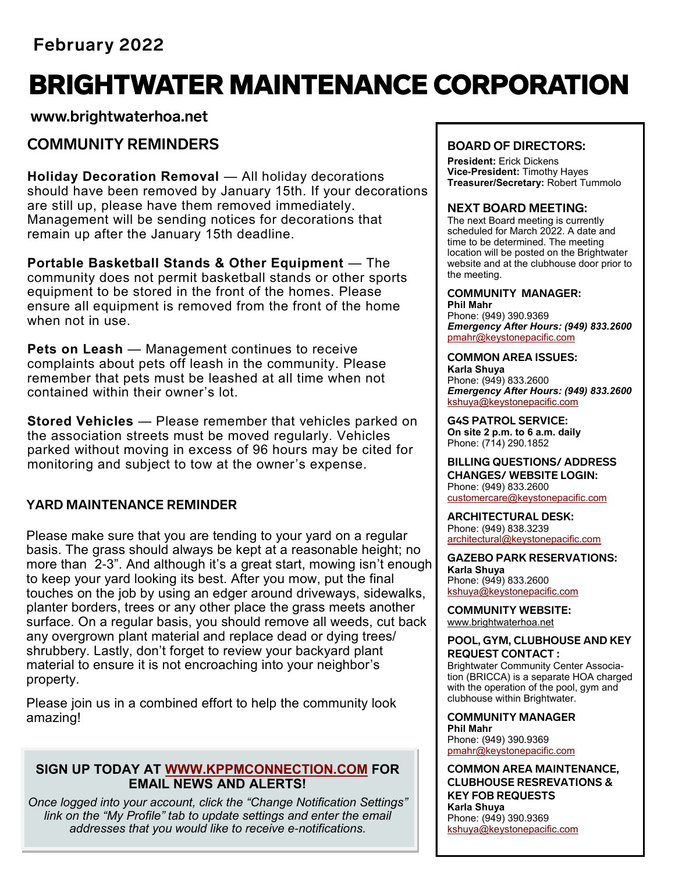## **February 2022**

# BRIGHTWATER MAINTENANCE CORPORATION

**www.brightwaterhoa.net**

## **COMMUNITY REMINDERS**

**Holiday Decoration Removal** — All holiday decorations should have been removed by January 15th. If your decorations are still up, please have them removed immediately. Management will be sending notices for decorations that remain up after the January 15th deadline.

**Portable Basketball Stands & Other Equipment** — The community does not permit basketball stands or other sports equipment to be stored in the front of the homes. Please ensure all equipment is removed from the front of the home when not in use.

**Pets on Leash** — Management continues to receive complaints about pets off leash in the community. Please remember that pets must be leashed at all time when not contained within their owner's lot.

**Stored Vehicles** — Please remember that vehicles parked on the association streets must be moved regularly. Vehicles parked without moving in excess of 96 hours may be cited for monitoring and subject to tow at the owner's expense.

## **YARD MAINTENANCE REMINDER**

Please make sure that you are tending to your yard on a regular basis. The grass should always be kept at a reasonable height; no more than 2-3". And although it's a great start, mowing isn't enough to keep your yard looking its best. After you mow, put the final touches on the job by using an edger around driveways, sidewalks, planter borders, trees or any other place the grass meets another surface. On a regular basis, you should remove all weeds, cut back any overgrown plant material and replace dead or dying trees/ shrubbery. Lastly, don't forget to review your backyard plant material to ensure it is not encroaching into your neighbor's property.

Please join us in a combined effort to help the community look amazing!

## **SIGN UP TODAY AT [WWW.KPPMCONNECTION.COM](http://WWW.KPPMCONNECTION.COM) FOR EMAIL NEWS AND ALERTS!**

*Once logged into your account, click the "Change Notification Settings" link on the "My Profile" tab to update settings and enter the email addresses that you would like to receive e-notifications.* 

## **BOARD OF DIRECTORS:**

**President:** Erick Dickens **Vice-President:** Timothy Hayes **Treasurer/Secretary:** Robert Tummolo

## **NEXT BOARD MEETING:**

The next Board meeting is currently scheduled for March 2022. A date and time to be determined. The meeting location will be posted on the Brightwater website and at the clubhouse door prior to the meeting.

#### **COMMUNITY MANAGER: Phil Mahr**

Phone: (949) 390.9369 *Emergency After Hours: (949) 833.2600* pmahr[@keystonepacific.com](mailto:asoto@keystonepacific.com) 

#### **COMMON AREA ISSUES:**

**Karla Shuya** Phone: (949) 833.2600 *Emergency After Hours: (949) 833.2600* kshuya[@keystonepacific.com](mailto:lcruz@keystonepacific.com)

**G4S PATROL SERVICE: On site 2 p.m. to 6 a.m. daily** Phone: (714) 290.1852

#### **BILLING QUESTIONS/ ADDRESS CHANGES/ WEBSITE LOGIN:** Phone: (949) 833.2600 [customercare@keystonepacific.com](mailto:customercare@keystonepacific.com)

**ARCHITECTURAL DESK:** Phone: (949) 838.3239 [architectural@keystonepacific.com](mailto:architectural@keystonepacific.com)

**GAZEBO PARK RESERVATIONS: Karla Shuya** Phone: (949) 833.2600 kshuya[@keystonepacific.com](mailto:lcruz@keystonepacific.com)

**COMMUNITY WEBSITE:** [www.brightwaterhoa.net](http://www.brightwaterhoa.net) 

#### **POOL, GYM, CLUBHOUSE AND KEY REQUEST CONTACT :**

Brightwater Community Center Association (BRICCA) is a separate HOA charged with the operation of the pool, gym and clubhouse within Brightwater.

**COMMUNITY MANAGER Phil Mahr** Phone: (949) 390.9369 pmahr[@keystonepacific.com](mailto:asoto@keystonepacific.com) 

**COMMON AREA MAINTENANCE, CLUBHOUSE RESREVATIONS & KEY FOB REQUESTS Karla Shuya** Phone: (949) 390.9369 kshuya[@keystonepacific.com](mailto:lcruz@keystonepacific.com)